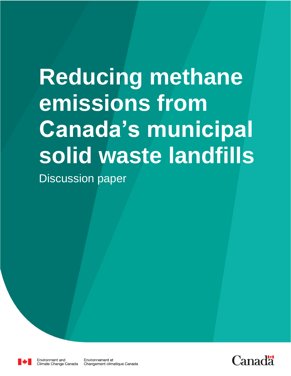# **Reducing methane emissions from Canada's municipal solid waste landfills** Discussion paper



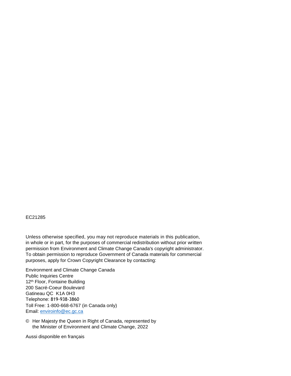#### EC21285

Unless otherwise specified, you may not reproduce materials in this publication, in whole or in part, for the purposes of commercial redistribution without prior written permission from Environment and Climate Change Canada's copyright administrator. To obtain permission to reproduce Government of Canada materials for commercial purposes, apply for Crown Copyright Clearance by contacting:

Environment and Climate Change Canada Public Inquiries Centre 12<sup>th</sup> Floor, Fontaine Building 200 Sacré-Coeur Boulevard Gatineau QC K1A 0H3 Telephone: 819-938-3860 Toll Free: 1-800-668-6767 (in Canada only) Email: [enviroinfo@ec.gc.ca](mailto:enviroinfo@ec.gc.ca)

© Her Majesty the Queen in Right of Canada, represented by the Minister of Environment and Climate Change, 2022

Aussi disponible en français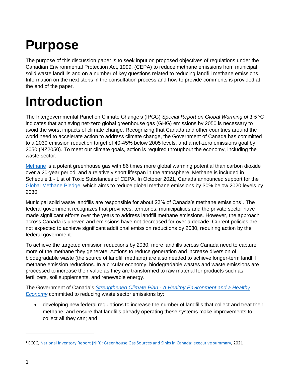## **Purpose**

The purpose of this discussion paper is to seek input on proposed objectives of regulations under the Canadian Environmental Protection Act, 1999, (CEPA) to reduce methane emissions from municipal solid waste landfills and on a number of key questions related to reducing landfill methane emissions. Information on the next steps in the consultation process and how to provide comments is provided at the end of the paper.

# **Introduction**

The Intergovernmental Panel on Climate Change's (IPCC) *Special Report on Global Warming of 1.5* °C indicates that achieving net-zero global greenhouse gas (GHG) emissions by 2050 is necessary to avoid the worst impacts of climate change. Recognizing that Canada and other countries around the world need to accelerate action to address climate change, the Government of Canada has committed to a 2030 emission reduction target of 40-45% below 2005 levels, and a net-zero emissions goal by 2050 (NZ2050). To meet our climate goals, action is required throughout the economy, including the waste sector.

[Methane](https://www.canada.ca/en/environment-climate-change/services/management-toxic-substances/list-canadian-environmental-protection-act/methane.html) is a potent greenhouse gas with 86 times more global warming potential than carbon dioxide over a 20-year period, and a relatively short lifespan in the atmosphere. Methane is included in Schedule 1 - List of Toxic Substances of CEPA. In October 2021, Canada announced support for the [Global Methane Pledge,](https://www.canada.ca/en/environment-climate-change/news/2021/10/canada-confirms-its-support-for-the-global-methane-pledge-and-announces-ambitious-domestic-actions-to-slash-methane-emissions.html) which aims to reduce global methane emissions by 30% below 2020 levels by 2030.

Municipal solid waste landfills are responsible for about 23% of Canada's methane emissions<sup>1</sup>. The federal government recognizes that provinces, territories, municipalities and the private sector have made significant efforts over the years to address landfill methane emissions. However, the approach across Canada is uneven and emissions have not decreased for over a decade. Current policies are not expected to achieve significant additional emission reductions by 2030, requiring action by the federal government.

To achieve the targeted emission reductions by 2030, more landfills across Canada need to capture more of the methane they generate. Actions to reduce generation and increase diversion of biodegradable waste (the source of landfill methane) are also needed to achieve longer-term landfill methane emission reductions. In a circular economy, biodegradable wastes and waste emissions are processed to increase their value as they are transformed to raw material for products such as fertilizers, soil supplements, and renewable energy.

The Government of Canada's *Strengthened Climate Plan - [A Healthy Environment and a Healthy](https://www.canada.ca/en/services/environment/weather/climatechange/climate-plan/climate-plan-overview/healthy-environment-healthy-economy.html)  [Economy](https://www.canada.ca/en/services/environment/weather/climatechange/climate-plan/climate-plan-overview/healthy-environment-healthy-economy.html)* committed to reducing waste sector emissions by:

 developing new federal regulations to increase the number of landfills that collect and treat their methane, and ensure that landfills already operating these systems make improvements to collect all they can; and

<sup>1</sup> ECCC, [National Inventory Report \(NIR\): Greenhouse Gas Sources and Sinks in Canada:](https://www.canada.ca/en/environment-climate-change/services/climate-change/greenhouse-gas-emissions/sources-sinks-executive-summary-2021.html) executive summary, 2021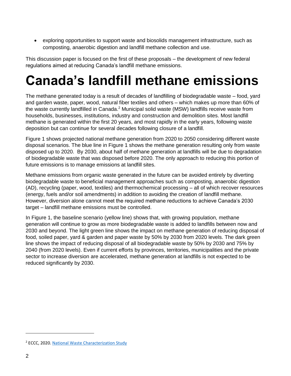exploring opportunities to support waste and biosolids management infrastructure, such as composting, anaerobic digestion and landfill methane collection and use.

This discussion paper is focused on the first of these proposals – the development of new federal regulations aimed at reducing Canada's landfill methane emissions.

## **Canada's landfill methane emissions**

The methane generated today is a result of decades of landfilling of biodegradable waste – food, yard and garden waste, paper, wood, natural fiber textiles and others – which makes up more than 60% of the waste currently landfilled in Canada.<sup>2</sup> Municipal solid waste (MSW) landfills receive waste from households, businesses, institutions, industry and construction and demolition sites. Most landfill methane is generated within the first 20 years, and most rapidly in the early years, following waste deposition but can continue for several decades following closure of a landfill.

Figure 1 shows projected national methane generation from 2020 to 2050 considering different waste disposal scenarios. The blue line in Figure 1 shows the methane generation resulting only from waste disposed up to 2020. By 2030, about half of methane generation at landfills will be due to degradation of biodegradable waste that was disposed before 2020. The only approach to reducing this portion of future emissions is to manage emissions at landfill sites.

Methane emissions from organic waste generated in the future can be avoided entirely by diverting biodegradable waste to beneficial management approaches such as composting, anaerobic digestion (AD), recycling (paper, wood, textiles) and thermochemical processing – all of which recover resources (energy, fuels and/or soil amendments) in addition to avoiding the creation of landfill methane. However, diversion alone cannot meet the required methane reductions to achieve Canada's 2030 target – landfill methane emissions must be controlled.

In Figure 1, the baseline scenario (yellow line) shows that, with growing population, methane generation will continue to grow as more biodegradable waste is added to landfills between now and 2030 and beyond. The light green line shows the impact on methane generation of reducing disposal of food, soiled paper, yard & garden and paper waste by 50% by 2030 from 2020 levels. The dark green line shows the impact of reducing disposal of all biodegradable waste by 50% by 2030 and 75% by 2040 (from 2020 levels). Even if current efforts by provinces, territories, municipalities and the private sector to increase diversion are accelerated, methane generation at landfills is not expected to be reduced significantly by 2030.

<sup>2</sup> ECCC, 2020. [National Waste Characterization Study](http://publications.gc.ca/collections/collection_2020/eccc/en14/En14-405-2020-eng.pdf)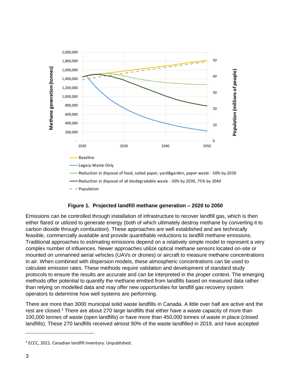

#### **Figure 1. Projected landfill methane generation – 2020 to 2050**

Emissions can be controlled through installation of infrastructure to recover landfill gas, which is then either flared or utilized to generate energy (both of which ultimately destroy methane by converting it to carbon dioxide through combustion). These approaches are well established and are technically feasible, commercially available and provide quantifiable reductions to landfill methane emissions. Traditional approaches to estimating emissions depend on a relatively simple model to represent a very complex number of influences. Newer approaches utilize optical methane sensors located on-site or mounted on unmanned aerial vehicles (UAVs or drones) or aircraft to measure methane concentrations in air. When combined with dispersion models, these atmospheric concentrations can be used to calculate emission rates. These methods require validation and development of standard study protocols to ensure the results are accurate and can be interpreted in the proper context. The emerging methods offer potential to quantify the methane emitted from landfills based on measured data rather than relying on modelled data and may offer new opportunities for landfill gas recovery system operators to determine how well systems are performing.

There are more than 3000 municipal solid waste landfills in Canada. A little over half are active and the rest are closed.<sup>3</sup> There are about 270 large landfills that either have a waste capacity of more than 100,000 tonnes of waste (open landfills) or have more than 450,000 tonnes of waste in place (closed landfills). These 270 landfills received almost 90% of the waste landfilled in 2019, and have accepted

<sup>3</sup> ECCC, 2021. Canadian landfill inventory. Unpublished.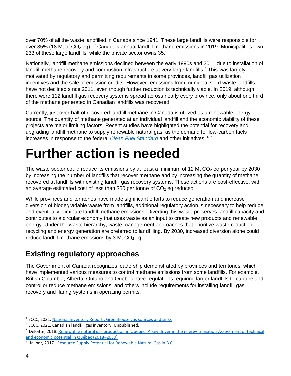over 70% of all the waste landfilled in Canada since 1941. These large landfills were responsible for over 85% (18 Mt of  $CO<sub>2</sub>$  eq) of Canada's annual landfill methane emissions in 2019. Municipalities own 233 of these large landfills, while the private sector owns 35.

Nationally, landfill methane emissions declined between the early 1990s and 2011 due to installation of landfill methane recovery and combustion infrastructure at very large landfills.<sup>4</sup> This was largely motivated by regulatory and permitting requirements in some provinces, landfill gas utilization incentives and the sale of emission credits. However, emissions from municipal solid waste landfills have not declined since 2011, even though further reduction is technically viable. In 2019, although there were 112 landfill gas recovery systems spread across nearly every province, only about one third of the methane generated in Canadian landfills was recovered.<sup>5</sup>

Currently, just over half of recovered landfill methane in Canada is utilized as a renewable energy source. The quantity of methane generated at an individual landfill and the economic viability of these projects are major limiting factors. Recent studies have highlighted the potential for recovery and upgrading landfill methane to supply renewable natural gas, as the demand for low-carbon fuels increases in response to the federal *[Clean Fuel Standard](https://www.canada.ca/en/environment-climate-change/services/managing-pollution/energy-production/fuel-regulations/clean-fuel-standard.html)* and other initiatives. <sup>6</sup> <sup>7</sup>

### **Further action is needed**

The waste sector could reduce its emissions by at least a minimum of 12 Mt  $CO<sub>2</sub>$  eq per year by 2030 by increasing the number of landfills that recover methane and by increasing the quantity of methane recovered at landfills with existing landfill gas recovery systems. These actions are cost-effective, with an average estimated cost of less than \$50 per tonne of  $CO<sub>2</sub>$  eq reduced.

While provinces and territories have made significant efforts to reduce generation and increase diversion of biodegradable waste from landfills, additional regulatory action is necessary to help reduce and eventually eliminate landfill methane emissions. Diverting this waste preserves landfill capacity and contributes to a circular economy that uses waste as an input to create new products and renewable energy. Under the waste hierarchy, waste management approaches that prioritize waste reduction, recycling and energy generation are preferred to landfilling. By 2030, increased diversion alone could reduce landfill methane emissions by 3 Mt  $CO<sub>2</sub>$  eq.

### **Existing regulatory approaches**

The Government of Canada recognizes leadership demonstrated by provinces and territories, which have implemented various measures to control methane emissions from some landfills. For example, British Columbia, Alberta, Ontario and Quebec have regulations requiring larger landfills to capture and control or reduce methane emissions, and others include requirements for installing landfill gas recovery and flaring systems in operating permits.

 $\overline{a}$ 

<sup>4</sup> ECCC, 2021. [National Inventory Report : Greenhouse gas sources and sinks](https://unfccc.int/documents/271493)

<sup>5</sup> ECCC, 2021. Canadian landfill gas inventory. Unpublished.

<sup>&</sup>lt;sup>6</sup> Deloitte, 2018. Renewable natural gas production in Québec: A key driver in the energy transition Assessment of technical [and economic potential in Québec \(2018](https://www.energir.com/~/media/Files/Corporatif/Publications/181120_Potentiel%20GNR_Rapport%20synth%C3%A8se_ANG.pdf?la=en)–2030)

<sup>7</sup> Hallbar, 2017. [Resource Supply Potential for Renewable Natural Gas in B.C.](https://www2.gov.bc.ca/assets/gov/farming-natural-resources-and-industry/electricity-alternative-energy/transportation/renewable-low-carbon-fuels/resource_supply_potential_for_renewable_natural_gas_in_bc_public_version.pdf)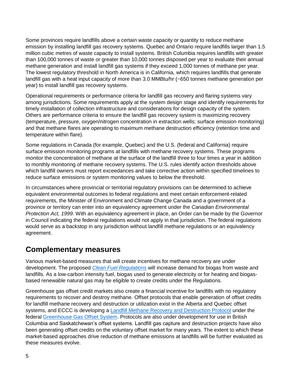Some provinces require landfills above a certain waste capacity or quantity to reduce methane emission by installing landfill gas recovery systems. Quebec and Ontario require landfills larger than 1.5 million cubic metres of waste capacity to install systems. British Columbia requires landfills with greater than 100,000 tonnes of waste or greater than 10,000 tonnes disposed per year to evaluate their annual methane generation and install landfill gas systems if they exceed 1,000 tonnes of methane per year. The lowest regulatory threshold in North America is in California, which requires landfills that generate landfill gas with a heat input capacity of more than 3.0 MMBtu/hr (~650 tonnes methane generation per year) to install landfill gas recovery systems.

Operational requirements or performance criteria for landfill gas recovery and flaring systems vary among jurisdictions. Some requirements apply at the system design stage and identify requirements for timely installation of collection infrastructure and considerations for design capacity of the system. Others are performance criteria to ensure the landfill gas recovery system is maximizing recovery (temperature, pressure, oxygen/nitrogen concentration in extraction wells; surface emission monitoring) and that methane flares are operating to maximum methane destruction efficiency (retention time and temperature within flare).

Some regulations in Canada (for example, Quebec) and the U.S. (federal and California) require surface emission monitoring programs at landfills with methane recovery systems. These programs monitor the concentration of methane at the surface of the landfill three to four times a year in addition to monthly monitoring of methane recovery systems. The U.S. rules identify action thresholds above which landfill owners must report exceedances and take corrective action within specified timelines to reduce surface emissions or system monitoring values to below the threshold.

In circumstances where provincial or territorial regulatory provisions can be determined to achieve equivalent environmental outcomes to federal regulations and meet certain enforcement-related requirements, the Minister of Environment and Climate Change Canada and a government of a province or territory can enter into an equivalency agreement under the *Canadian Environmental Protection Act, 1999*. With an equivalency agreement in place, an Order can be made by the Governor in Council indicating the federal regulations would not apply in that jurisdiction. The federal regulations would serve as a backstop in any jurisdiction without landfill methane regulations or an equivalency agreement.

#### **Complementary measures**

Various market-based measures that will create incentives for methane recovery are under development. The proposed *[Clean Fuel Regulations](https://canadagazette.gc.ca/rp-pr/p1/2020/2020-12-19/html/reg2-eng.html)* will increase demand for biogas from waste and landfills. As a low-carbon intensity fuel, biogas used to generate electricity or for heating and biogasbased renewable natural gas may be eligible to create credits under the Regulations.

Greenhouse gas offset credit markets also create a financial incentive for landfills with no regulatory requirements to recover and destroy methane. Offset protocols that enable generation of offset credits for landfill methane recovery and destruction or utilization exist in the Alberta and Quebec offset systems, and ECCC is developing a [Landfill Methane Recovery and Destruction Protocol](https://www.canada.ca/en/environment-climate-change/services/climate-change/pricing-pollution-how-it-will-work/output-based-pricing-system/federal-greenhouse-gas-offset-system/landfill-methane-recovery-destruction-protocol.html) under the federal [Greenhouse Gas Offset System.](https://www.canada.ca/en/environment-climate-change/services/climate-change/pricing-pollution-how-it-will-work/output-based-pricing-system/federal-greenhouse-gas-offset-system.html) Protocols are also under development for use in British Columbia and Saskatchewan's offset systems. Landfill gas capture and destruction projects have also been generating offset credits on the voluntary offset market for many years. The extent to which these market-based approaches drive reduction of methane emissions at landfills will be further evaluated as these measures evolve.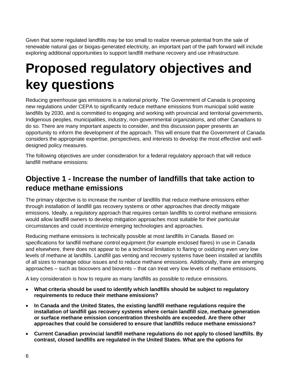Given that some regulated landfills may be too small to realize revenue potential from the sale of renewable natural gas or biogas-generated electricity, an important part of the path forward will include exploring additional opportunities to support landfill methane recovery and use infrastructure.

### **Proposed regulatory objectives and key questions**

Reducing greenhouse gas emissions is a national priority. The Government of Canada is proposing new regulations under CEPA to significantly reduce methane emissions from municipal solid waste landfills by 2030, and is committed to engaging and working with provincial and territorial governments, Indigenous peoples, municipalities, industry, non-governmental organizations, and other Canadians to do so. There are many important aspects to consider, and this discussion paper presents an opportunity to inform the development of the approach. This will ensure that the Government of Canada considers the appropriate expertise, perspectives, and interests to develop the most effective and welldesigned policy measures.

The following objectives are under consideration for a federal regulatory approach that will reduce landfill methane emissions:

### **Objective 1 - Increase the number of landfills that take action to reduce methane emissions**

The primary objective is to increase the number of landfills that reduce methane emissions either through installation of landfill gas recovery systems or other approaches that directly mitigate emissions. Ideally, a regulatory approach that requires certain landfills to control methane emissions would allow landfill owners to develop mitigation approaches most suitable for their particular circumstances and could incentivize emerging technologies and approaches.

Reducing methane emissions is technically possible at most landfills in Canada. Based on specifications for landfill methane control equipment (for example enclosed flares) in use in Canada and elsewhere, there does not appear to be a technical limitation to flaring or oxidizing even very low levels of methane at landfills. Landfill gas venting and recovery systems have been installed at landfills of all sizes to manage odour issues and to reduce methane emissions. Additionally, there are emerging approaches – such as biocovers and biovents – that can treat very low levels of methane emissions.

A key consideration is how to require as many landfills as possible to reduce emissions.

- **What criteria should be used to identify which landfills should be subject to regulatory requirements to reduce their methane emissions?**
- **In Canada and the United States, the existing landfill methane regulations require the installation of landfill gas recovery systems where certain landfill size, methane generation or surface methane emission concentration thresholds are exceeded. Are there other approaches that could be considered to ensure that landfills reduce methane emissions?**
- **Current Canadian provincial landfill methane regulations do not apply to closed landfills. By contrast, closed landfills are regulated in the United States. What are the options for**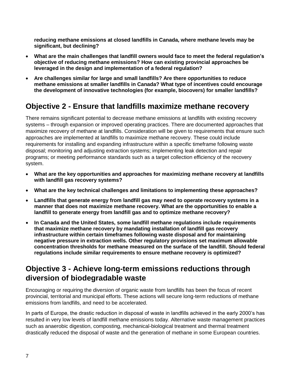**reducing methane emissions at closed landfills in Canada, where methane levels may be significant, but declining?**

- **What are the main challenges that landfill owners would face to meet the federal regulation's objective of reducing methane emissions? How can existing provincial approaches be leveraged in the design and implementation of a federal regulation?**
- **Are challenges similar for large and small landfills? Are there opportunities to reduce methane emissions at smaller landfills in Canada? What type of incentives could encourage the development of innovative technologies (for example, biocovers) for smaller landfills?**

#### **Objective 2 - Ensure that landfills maximize methane recovery**

There remains significant potential to decrease methane emissions at landfills with existing recovery systems – through expansion or improved operating practices. There are documented approaches that maximize recovery of methane at landfills. Consideration will be given to requirements that ensure such approaches are implemented at landfills to maximize methane recovery. These could include requirements for installing and expanding infrastructure within a specific timeframe following waste disposal; monitoring and adjusting extraction systems; implementing leak detection and repair programs; or meeting performance standards such as a target collection efficiency of the recovery system.

- **What are the key opportunities and approaches for maximizing methane recovery at landfills with landfill gas recovery systems?**
- **What are the key technical challenges and limitations to implementing these approaches?**
- **Landfills that generate energy from landfill gas may need to operate recovery systems in a manner that does not maximize methane recovery. What are the opportunities to enable a landfill to generate energy from landfill gas and to optimize methane recovery?**
- **In Canada and the United States, some landfill methane regulations include requirements that maximize methane recovery by mandating installation of landfill gas recovery infrastructure within certain timeframes following waste disposal and for maintaining negative pressure in extraction wells. Other regulatory provisions set maximum allowable concentration thresholds for methane measured on the surface of the landfill. Should federal regulations include similar requirements to ensure methane recovery is optimized?**

#### **Objective 3 - Achieve long-term emissions reductions through diversion of biodegradable waste**

Encouraging or requiring the diversion of organic waste from landfills has been the focus of recent provincial, territorial and municipal efforts. These actions will secure long-term reductions of methane emissions from landfills, and need to be accelerated.

In parts of Europe, the drastic reduction in disposal of waste in landfills achieved in the early 2000's has resulted in very low levels of landfill methane emissions today. Alternative waste management practices such as anaerobic digestion, composting, mechanical-biological treatment and thermal treatment drastically reduced the disposal of waste and the generation of methane in some European countries.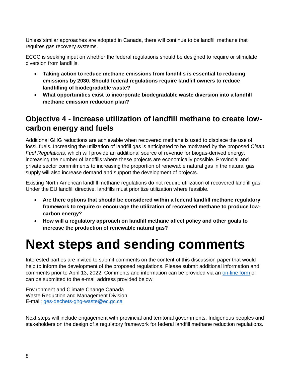Unless similar approaches are adopted in Canada, there will continue to be landfill methane that requires gas recovery systems.

ECCC is seeking input on whether the federal regulations should be designed to require or stimulate diversion from landfills.

- **Taking action to reduce methane emissions from landfills is essential to reducing emissions by 2030. Should federal regulations require landfill owners to reduce landfilling of biodegradable waste?**
- **What opportunities exist to incorporate biodegradable waste diversion into a landfill methane emission reduction plan?**

### **Objective 4 - Increase utilization of landfill methane to create lowcarbon energy and fuels**

Additional GHG reductions are achievable when recovered methane is used to displace the use of fossil fuels. Increasing the utilization of landfill gas is anticipated to be motivated by the proposed *Clean Fuel Regulations,* which will provide an additional source of revenue for biogas-derived energy, increasing the number of landfills where these projects are economically possible*.* Provincial and private sector commitments to increasing the proportion of renewable natural gas in the natural gas supply will also increase demand and support the development of projects.

Existing North American landfill methane regulations do not require utilization of recovered landfill gas. Under the EU landfill directive, landfills must prioritize utilization where feasible.

- **Are there options that should be considered within a federal landfill methane regulatory framework to require or encourage the utilization of recovered methane to produce lowcarbon energy?**
- **How will a regulatory approach on landfill methane affect policy and other goals to increase the production of renewable natural gas?**

### **Next steps and sending comments**

Interested parties are invited to submit comments on the content of this discussion paper that would help to inform the development of the proposed regulations. Please submit additional information and comments prior to April 13, 2022. Comments and information can be provided via an [on-line form](https://forms.office.com/Pages/ResponsePage.aspx?id=018MdItudkGcyUVNvk5ixJKUa4xy4mhOiIefwESlUUdUMzJON1dFN1NYSENWODk3RzhMVUZFMUo3SS4u) or can be submitted to the e-mail address provided below:

Environment and Climate Change Canada Waste Reduction and Management Division E-mail: [ges-dechets-ghg-waste@ec.gc.ca](mailto:ges-dechets-ghg-waste@ec.gc.ca)

Next steps will include engagement with provincial and territorial governments, Indigenous peoples and stakeholders on the design of a regulatory framework for federal landfill methane reduction regulations.